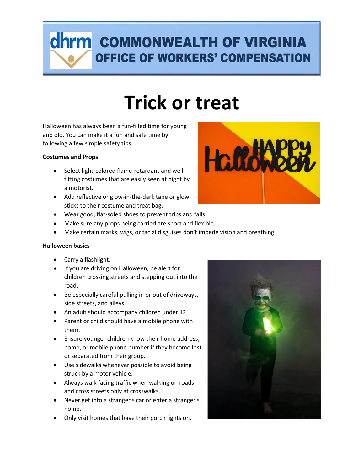### **dhrm** COMMONWEALTH OF VIRGINIA **OFFICE OF WORKERS' COMPENSATION**

## **Trick or treat**

Halloween has always been a fun-filled time for young and old. You can make it a fun and safe time by following a few simple safety tips.

### **Costumes and Props**

- Select light-colored flame-retardant and wellfitting costumes that are easily seen at night by a motorist.
- Add reflective or glow-in-the-dark tape or glow sticks to their costume and treat bag.
- Wear good, flat-soled shoes to prevent trips and falls.
- Make sure any props being carried are short and flexible.
- Make certain masks, wigs, or facial disguises don't impede vision and breathing.

#### **Halloween basics**

- Carry a flashlight.
- If you are driving on Halloween, be alert for children crossing streets and stepping out into the road.
- Be especially careful pulling in or out of driveways, side streets, and alleys.
- An adult should accompany children under 12.
- Parent or child should have a mobile phone with them.
- Ensure younger children know their home address, home, or mobile phone number if they become lost or separated from their group.
- Use sidewalks whenever possible to avoid being struck by a motor vehicle.
- Always walk facing traffic when walking on roads and cross streets only at crosswalks.
- Never get into a stranger's car or enter a stranger's home.
- Only visit homes that have their porch lights on.